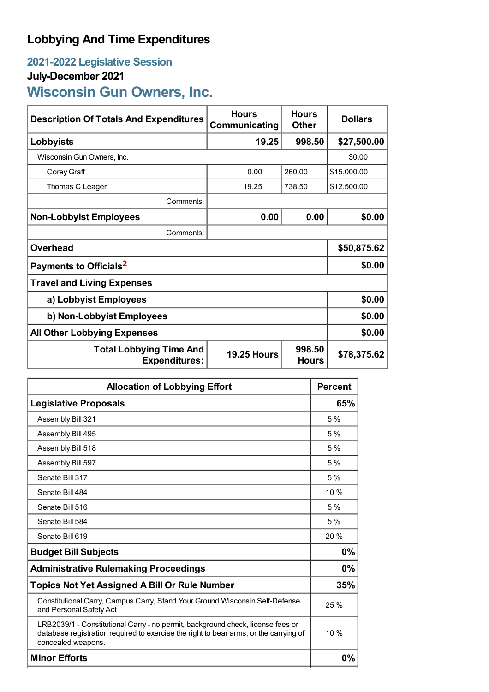# **Lobbying And Time Expenditures**

## **2021-2022 Legislative Session**

### **July-December 2021**

# **Wisconsin Gun Owners, Inc.**

| <b>Description Of Totals And Expenditures</b>          | <b>Hours</b><br>Communicating | <b>Hours</b><br><b>Other</b> | <b>Dollars</b> |  |
|--------------------------------------------------------|-------------------------------|------------------------------|----------------|--|
| Lobbyists                                              | 19.25                         | 998.50                       | \$27,500.00    |  |
| Wisconsin Gun Owners, Inc.                             |                               |                              | \$0.00         |  |
| Corey Graff                                            | 0.00                          | 260.00                       | \$15,000.00    |  |
| Thomas C Leager                                        | 19.25                         | 738.50                       | \$12,500.00    |  |
| Comments:                                              |                               |                              |                |  |
| <b>Non-Lobbyist Employees</b>                          | 0.00                          | 0.00                         | \$0.00         |  |
| Comments:                                              |                               |                              |                |  |
| <b>Overhead</b>                                        |                               |                              | \$50,875.62    |  |
| Payments to Officials <sup>2</sup>                     | \$0.00                        |                              |                |  |
| <b>Travel and Living Expenses</b>                      |                               |                              |                |  |
| a) Lobbyist Employees                                  | \$0.00                        |                              |                |  |
| b) Non-Lobbyist Employees                              |                               |                              | \$0.00         |  |
| <b>All Other Lobbying Expenses</b>                     |                               |                              | \$0.00         |  |
| <b>Total Lobbying Time And</b><br><b>Expenditures:</b> | <b>19.25 Hours</b>            | 998.50<br><b>Hours</b>       | \$78,375.62    |  |

| <b>Allocation of Lobbying Effort</b>                                                                                                                                                           |       |
|------------------------------------------------------------------------------------------------------------------------------------------------------------------------------------------------|-------|
| <b>Legislative Proposals</b>                                                                                                                                                                   | 65%   |
| Assembly Bill 321                                                                                                                                                                              | 5%    |
| Assembly Bill 495                                                                                                                                                                              | 5%    |
| Assembly Bill 518                                                                                                                                                                              | 5%    |
| Assembly Bill 597                                                                                                                                                                              | 5%    |
| Senate Bill 317                                                                                                                                                                                | 5%    |
| Senate Bill 484                                                                                                                                                                                | 10%   |
| Senate Bill 516                                                                                                                                                                                | 5%    |
| Senate Bill 584                                                                                                                                                                                | 5%    |
| Senate Bill 619                                                                                                                                                                                | 20%   |
| <b>Budget Bill Subjects</b>                                                                                                                                                                    | 0%    |
| <b>Administrative Rulemaking Proceedings</b>                                                                                                                                                   | 0%    |
| <b>Topics Not Yet Assigned A Bill Or Rule Number</b>                                                                                                                                           | 35%   |
| Constitutional Carry, Campus Carry, Stand Your Ground Wisconsin Self-Defense<br>and Personal Safety Act                                                                                        | 25%   |
| LRB2039/1 - Constitutional Carry - no permit, background check, license fees or<br>database registration required to exercise the right to bear arms, or the carrying of<br>concealed weapons. | 10%   |
| <b>Minor Efforts</b>                                                                                                                                                                           | $0\%$ |